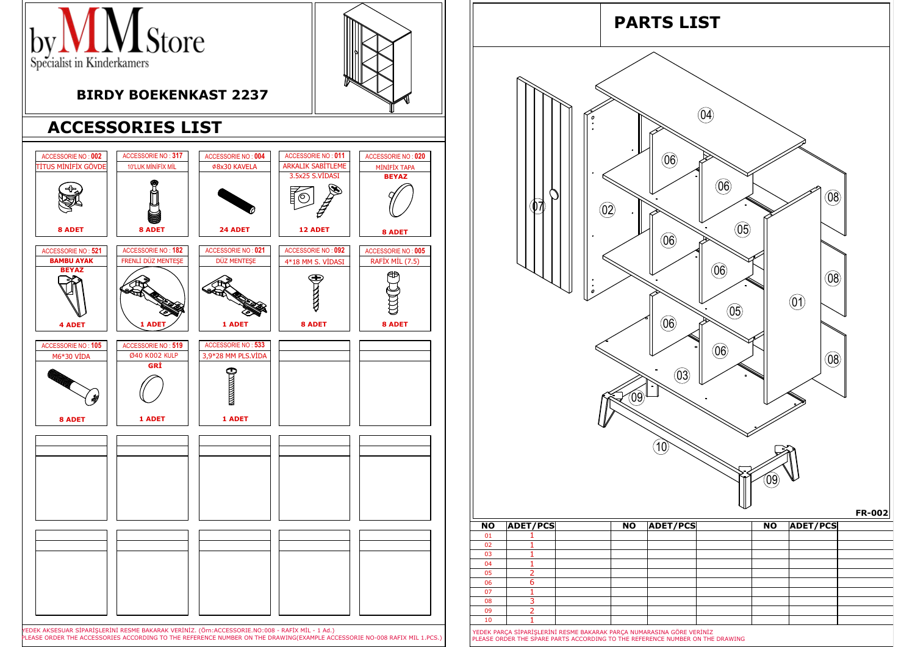